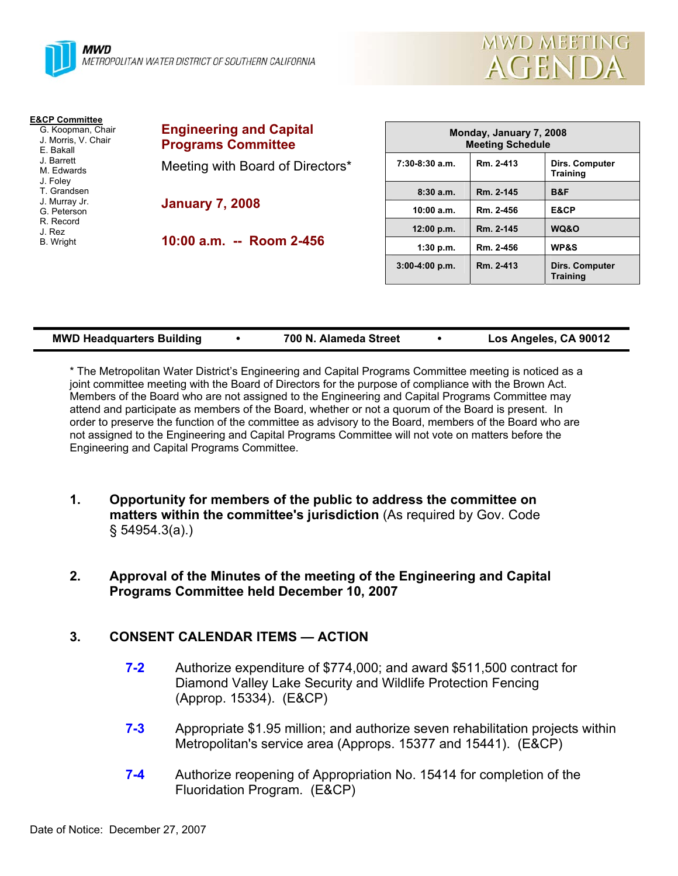



**Training** 

**3:00-4:00 p.m. Rm. 2-413 Dirs. Computer** 

| <b>E&amp;CP Committee</b><br>G. Koopman, Chair<br>J. Morris, V. Chair<br>E. Bakall | <b>Engineering and Capital</b><br><b>Programs Committee</b> | Monday, January 7, 2008<br><b>Meeting Schedule</b> |                        |                                   |
|------------------------------------------------------------------------------------|-------------------------------------------------------------|----------------------------------------------------|------------------------|-----------------------------------|
| J. Barrett<br>M. Edwards<br>J. Foley                                               | Meeting with Board of Directors*                            | $7:30-8:30$ a.m.                                   | Rm. 2-413              | <b>Dirs. Computer</b><br>Training |
| T. Grandsen<br>J. Murray Jr.<br>G. Peterson                                        | <b>January 7, 2008</b>                                      | 8:30a.m.<br>10:00 a.m.                             | Rm. 2-145<br>Rm. 2-456 | B&F<br>E&CP                       |
| R. Record<br>J. Rez<br>B. Wright                                                   | 10:00 a.m. -- Room 2-456                                    | 12:00 p.m.<br>1:30 p.m.                            | Rm. 2-145<br>Rm. 2-456 | WQ&O<br><b>WP&amp;S</b>           |
|                                                                                    |                                                             |                                                    |                        |                                   |

| <b>MWD Headquarters Building</b> |  | 700 N. Alameda Street |  | Los Angeles, CA 90012 |
|----------------------------------|--|-----------------------|--|-----------------------|
|----------------------------------|--|-----------------------|--|-----------------------|

\* The Metropolitan Water District's Engineering and Capital Programs Committee meeting is noticed as a joint committee meeting with the Board of Directors for the purpose of compliance with the Brown Act. Members of the Board who are not assigned to the Engineering and Capital Programs Committee may attend and participate as members of the Board, whether or not a quorum of the Board is present. In order to preserve the function of the committee as advisory to the Board, members of the Board who are not assigned to the Engineering and Capital Programs Committee will not vote on matters before the Engineering and Capital Programs Committee.

- **1. Opportunity for members of the public to address the committee on matters within the committee's jurisdiction** (As required by Gov. Code § 54954.3(a).)
- **2. Approval of the Minutes of the meeting of the Engineering and Capital Programs Committee held December 10, 2007**

### **3. CONSENT CALENDAR ITEMS — ACTION**

- **7-2** Authorize expenditure of \$774,000; and award \$511,500 contract for Diamond Valley Lake Security and Wildlife Protection Fencing (Approp. 15334). (E&CP)
- **7-3** Appropriate \$1.95 million; and authorize seven rehabilitation projects within Metropolitan's service area (Approps. 15377 and 15441). (E&CP)
- **7-4** Authorize reopening of Appropriation No. 15414 for completion of the Fluoridation Program. (E&CP)